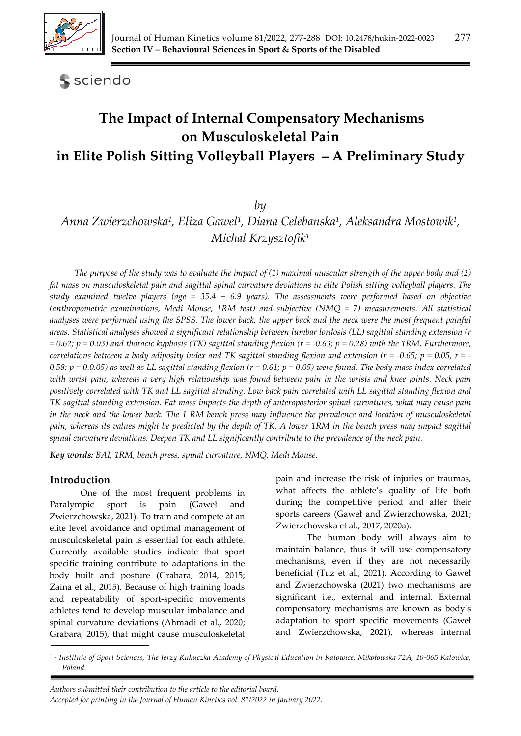

## **S** sciendo

# **The Impact of Internal Compensatory Mechanisms on Musculoskeletal Pain in Elite Polish Sitting Volleyball Players – A Preliminary Study**

#### *by*

## *Anna Zwierzchowska1, Eliza Gawel1, Diana Celebanska1, Aleksandra Mostowik1, Michal Krzysztofik1*

*The purpose of the study was to evaluate the impact of (1) maximal muscular strength of the upper body and (2) fat mass on musculoskeletal pain and sagittal spinal curvature deviations in elite Polish sitting volleyball players. The study examined twelve players (age = 35.4 ± 6.9 years). The assessments were performed based on objective (anthropometric examinations, Medi Mouse, 1RM test) and subjective (NMQ = 7) measurements. All statistical analyses were performed using the SPSS. The lower back, the upper back and the neck were the most frequent painful areas. Statistical analyses showed a significant relationship between lumbar lordosis (LL) sagittal standing extension (r*   $= 0.62$ ;  $p = 0.03$ ) and thoracic kyphosis (TK) sagittal standing flexion (r = -0.63;  $p = 0.28$ ) with the 1RM. Furthermore, *correlations between a body adiposity index and TK sagittal standing flexion and extension (r = -0.65; p = 0.05, r = -* 0.58;  $p = 0.0.05$ ) as well as LL sagittal standing flexion ( $r = 0.61$ ;  $p = 0.05$ ) were found. The body mass index correlated *with wrist pain, whereas a very high relationship was found between pain in the wrists and knee joints. Neck pain positively correlated with TK and LL sagittal standing. Low back pain correlated with LL sagittal standing flexion and TK sagittal standing extension. Fat mass impacts the depth of anteroposterior spinal curvatures, what may cause pain in the neck and the lower back. The 1 RM bench press may influence the prevalence and location of musculoskeletal pain, whereas its values might be predicted by the depth of TK. A lower 1RM in the bench press may impact sagittal spinal curvature deviations. Deepen TK and LL significantly contribute to the prevalence of the neck pain.* 

*Key words: BAI, 1RM, bench press, spinal curvature, NMQ, Medi Mouse.*

## **Introduction**

One of the most frequent problems in Paralympic sport is pain (Gaweł and Zwierzchowska, 2021). To train and compete at an elite level avoidance and optimal management of musculoskeletal pain is essential for each athlete. Currently available studies indicate that sport specific training contribute to adaptations in the body built and posture (Grabara, 2014, 2015; Zaina et al., 2015). Because of high training loads and repeatability of sport-specific movements athletes tend to develop muscular imbalance and spinal curvature deviations (Ahmadi et al., 2020; Grabara, 2015), that might cause musculoskeletal

pain and increase the risk of injuries or traumas, what affects the athlete's quality of life both during the competitive period and after their sports careers (Gaweł and Zwierzchowska, 2021; Zwierzchowska et al., 2017, 2020a).

 The human body will always aim to maintain balance, thus it will use compensatory mechanisms, even if they are not necessarily beneficial (Tuz et al., 2021). According to Gaweł and Zwierzchowska (2021) two mechanisms are significant i.e., external and internal. External compensatory mechanisms are known as body's adaptation to sport specific movements (Gaweł and Zwierzchowska, 2021), whereas internal

<sup>1 -</sup> *Institute of Sport Sciences, The Jerzy Kukuczka Academy of Physical Education in Katowice, Mikołowska 72A, 40-065 Katowice, Poland.*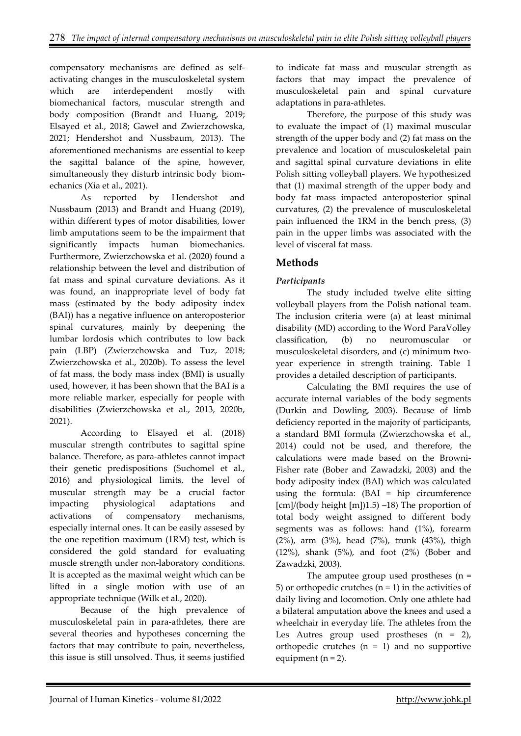compensatory mechanisms are defined as selfactivating changes in the musculoskeletal system which are interdependent mostly with biomechanical factors, muscular strength and body composition (Brandt and Huang, 2019; Elsayed et al., 2018; Gaweł and Zwierzchowska, 2021; Hendershot and Nussbaum, 2013). The aforementioned mechanisms are essential to keep the sagittal balance of the spine, however, simultaneously they disturb intrinsic body biomechanics (Xia et al., 2021).

 As reported by Hendershot and Nussbaum (2013) and Brandt and Huang (2019), within different types of motor disabilities, lower limb amputations seem to be the impairment that significantly impacts human biomechanics. Furthermore, Zwierzchowska et al. (2020) found a relationship between the level and distribution of fat mass and spinal curvature deviations. As it was found, an inappropriate level of body fat mass (estimated by the body adiposity index (BAI)) has a negative influence on anteroposterior spinal curvatures, mainly by deepening the lumbar lordosis which contributes to low back pain (LBP) (Zwierzchowska and Tuz, 2018; Zwierzchowska et al., 2020b). To assess the level of fat mass, the body mass index (BMI) is usually used, however, it has been shown that the BAI is a more reliable marker, especially for people with disabilities (Zwierzchowska et al., 2013, 2020b, 2021).

 According to Elsayed et al. (2018) muscular strength contributes to sagittal spine balance. Therefore, as para-athletes cannot impact their genetic predispositions (Suchomel et al., 2016) and physiological limits, the level of muscular strength may be a crucial factor impacting physiological adaptations and activations of compensatory mechanisms, especially internal ones. It can be easily assesed by the one repetition maximum (1RM) test, which is considered the gold standard for evaluating muscle strength under non-laboratory conditions. It is accepted as the maximal weight which can be lifted in a single motion with use of an appropriate technique (Wilk et al., 2020).

Because of the high prevalence of musculoskeletal pain in para-athletes, there are several theories and hypotheses concerning the factors that may contribute to pain, nevertheless, this issue is still unsolved. Thus, it seems justified to indicate fat mass and muscular strength as factors that may impact the prevalence of musculoskeletal pain and spinal curvature adaptations in para-athletes.

Therefore, the purpose of this study was to evaluate the impact of (1) maximal muscular strength of the upper body and (2) fat mass on the prevalence and location of musculoskeletal pain and sagittal spinal curvature deviations in elite Polish sitting volleyball players. We hypothesized that (1) maximal strength of the upper body and body fat mass impacted anteroposterior spinal curvatures, (2) the prevalence of musculoskeletal pain influenced the 1RM in the bench press, (3) pain in the upper limbs was associated with the level of visceral fat mass.

## **Methods**

#### *Participants*

 The study included twelve elite sitting volleyball players from the Polish national team. The inclusion criteria were (a) at least minimal disability (MD) according to the Word ParaVolley classification, (b) no neuromuscular or musculoskeletal disorders, and (c) minimum twoyear experience in strength training. Table 1 provides a detailed description of participants.

Calculating the BMI requires the use of accurate internal variables of the body segments (Durkin and Dowling, 2003). Because of limb deficiency reported in the majority of participants, a standard BMI formula (Zwierzchowska et al., 2014) could not be used, and therefore, the calculations were made based on the Browni-Fisher rate (Bober and Zawadzki, 2003) and the body adiposity index (BAI) which was calculated using the formula: (BAI = hip circumference  $[cm]/(body$  height  $[m]/1.5)$  –18) The proportion of total body weight assigned to different body segments was as follows: hand (1%), forearm (2%), arm (3%), head (7%), trunk (43%), thigh (12%), shank (5%), and foot (2%) (Bober and Zawadzki, 2003).

The amputee group used prostheses (n = 5) or orthopedic crutches  $(n = 1)$  in the activities of daily living and locomotion. Only one athlete had a bilateral amputation above the knees and used a wheelchair in everyday life. The athletes from the Les Autres group used prostheses (n = 2), orthopedic crutches  $(n = 1)$  and no supportive equipment  $(n = 2)$ .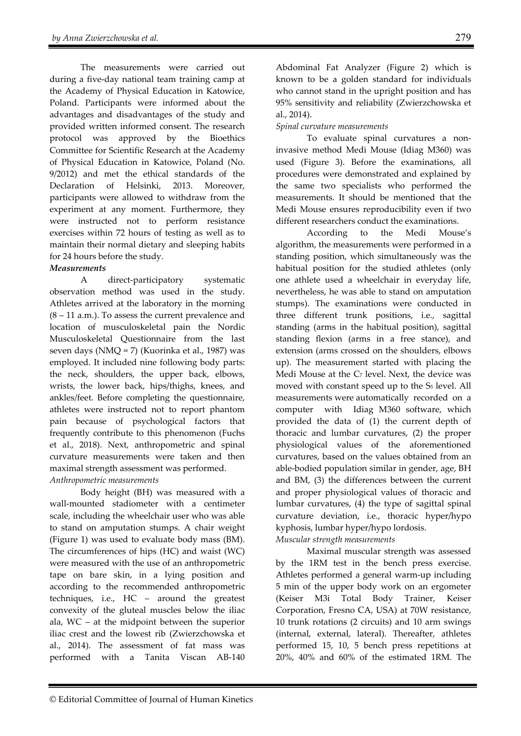The measurements were carried out during a five-day national team training camp at the Academy of Physical Education in Katowice, Poland. Participants were informed about the advantages and disadvantages of the study and provided written informed consent. The research protocol was approved by the Bioethics Committee for Scientific Research at the Academy of Physical Education in Katowice, Poland (No. 9/2012) and met the ethical standards of the Declaration of Helsinki, 2013. Moreover, participants were allowed to withdraw from the experiment at any moment. Furthermore, they were instructed not to perform resistance exercises within 72 hours of testing as well as to maintain their normal dietary and sleeping habits for 24 hours before the study.

#### *Measurements*

 A direct-participatory systematic observation method was used in the study. Athletes arrived at the laboratory in the morning  $(8 - 11 \text{ a.m.})$ . To assess the current prevalence and location of musculoskeletal pain the Nordic Musculoskeletal Questionnaire from the last seven days (NMQ = 7) (Kuorinka et al., 1987) was employed. It included nine following body parts: the neck, shoulders, the upper back, elbows, wrists, the lower back, hips/thighs, knees, and ankles/feet. Before completing the questionnaire, athletes were instructed not to report phantom pain because of psychological factors that frequently contribute to this phenomenon (Fuchs et al., 2018). Next, anthropometric and spinal curvature measurements were taken and then maximal strength assessment was performed. *Anthropometric measurements* 

Body height (BH) was measured with a wall-mounted stadiometer with a centimeter scale, including the wheelchair user who was able to stand on amputation stumps. A chair weight (Figure 1) was used to evaluate body mass (BM). The circumferences of hips (HC) and waist (WC) were measured with the use of an anthropometric tape on bare skin, in a lying position and according to the recommended anthropometric techniques, i.e., HC – around the greatest convexity of the gluteal muscles below the iliac ala, WC – at the midpoint between the superior iliac crest and the lowest rib (Zwierzchowska et al., 2014). The assessment of fat mass was performed with a Tanita Viscan AB-140

Abdominal Fat Analyzer (Figure 2) which is known to be a golden standard for individuals who cannot stand in the upright position and has 95% sensitivity and reliability (Zwierzchowska et al., 2014).

#### *Spinal curvature measurements*

 To evaluate spinal curvatures a noninvasive method Medi Mouse (Idiag M360) was used (Figure 3). Before the examinations, all procedures were demonstrated and explained by the same two specialists who performed the measurements. It should be mentioned that the Medi Mouse ensures reproducibility even if two different researchers conduct the examinations.

 According to the Medi Mouse's algorithm, the measurements were performed in a standing position, which simultaneously was the habitual position for the studied athletes (only one athlete used a wheelchair in everyday life, nevertheless, he was able to stand on amputation stumps). The examinations were conducted in three different trunk positions, i.e., sagittal standing (arms in the habitual position), sagittal standing flexion (arms in a free stance), and extension (arms crossed on the shoulders, elbows up). The measurement started with placing the Medi Mouse at the C<sub>7</sub> level. Next, the device was moved with constant speed up to the S<sub>5</sub> level. All measurements were automatically recorded on a computer with Idiag M360 software, which provided the data of (1) the current depth of thoracic and lumbar curvatures, (2) the proper physiological values of the aforementioned curvatures, based on the values obtained from an able-bodied population similar in gender, age, BH and BM, (3) the differences between the current and proper physiological values of thoracic and lumbar curvatures, (4) the type of sagittal spinal curvature deviation, i.e., thoracic hyper/hypo kyphosis, lumbar hyper/hypo lordosis.

#### *Muscular strength measurements*

Maximal muscular strength was assessed by the 1RM test in the bench press exercise. Athletes performed a general warm-up including 5 min of the upper body work on an ergometer (Keiser M3i Total Body Trainer, Keiser Corporation, Fresno CA, USA) at 70W resistance, 10 trunk rotations (2 circuits) and 10 arm swings (internal, external, lateral). Thereafter, athletes performed 15, 10, 5 bench press repetitions at 20%, 40% and 60% of the estimated 1RM. The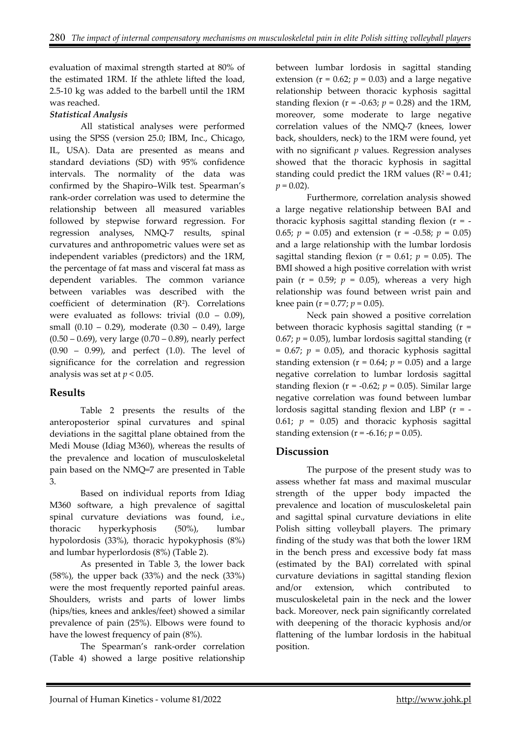evaluation of maximal strength started at 80% of the estimated 1RM. If the athlete lifted the load, 2.5-10 kg was added to the barbell until the 1RM was reached.

#### *Statistical Analysis*

All statistical analyses were performed using the SPSS (version 25.0; IBM, Inc., Chicago, IL, USA). Data are presented as means and standard deviations (SD) with 95% confidence intervals. The normality of the data was confirmed by the Shapiro–Wilk test. Spearman's rank-order correlation was used to determine the relationship between all measured variables followed by stepwise forward regression. For regression analyses, NMQ-7 results, spinal curvatures and anthropometric values were set as independent variables (predictors) and the 1RM, the percentage of fat mass and visceral fat mass as dependent variables. The common variance between variables was described with the coefficient of determination  $(R^2)$ . Correlations were evaluated as follows: trivial  $(0.0 - 0.09)$ , small (0.10 – 0.29), moderate (0.30 – 0.49), large  $(0.50 - 0.69)$ , very large  $(0.70 - 0.89)$ , nearly perfect (0.90 – 0.99), and perfect (1.0). The level of significance for the correlation and regression analysis was set at *p* < 0.05.

## **Results**

Table 2 presents the results of the anteroposterior spinal curvatures and spinal deviations in the sagittal plane obtained from the Medi Mouse (Idiag M360), whereas the results of the prevalence and location of musculoskeletal pain based on the NMQ=7 are presented in Table 3.

Based on individual reports from Idiag M360 software, a high prevalence of sagittal spinal curvature deviations was found, i.e., thoracic hyperkyphosis (50%), lumbar hypolordosis (33%), thoracic hypokyphosis (8%) and lumbar hyperlordosis (8%) (Table 2).

As presented in Table 3, the lower back (58%), the upper back (33%) and the neck (33%) were the most frequently reported painful areas. Shoulders, wrists and parts of lower limbs (hips/ties, knees and ankles/feet) showed a similar prevalence of pain (25%). Elbows were found to have the lowest frequency of pain (8%).

The Spearman's rank-order correlation (Table 4) showed a large positive relationship

between lumbar lordosis in sagittal standing extension ( $r = 0.62$ ;  $p = 0.03$ ) and a large negative relationship between thoracic kyphosis sagittal standing flexion ( $r = -0.63$ ;  $p = 0.28$ ) and the 1RM, moreover, some moderate to large negative correlation values of the NMQ-7 (knees, lower back, shoulders, neck) to the 1RM were found, yet with no significant *p* values. Regression analyses showed that the thoracic kyphosis in sagittal standing could predict the 1RM values ( $R^2$  = 0.41;  $p = 0.02$ ).

 Furthermore, correlation analysis showed a large negative relationship between BAI and thoracic kyphosis sagittal standing flexion  $(r = -1)$ 0.65;  $p = 0.05$ ) and extension ( $r = -0.58$ ;  $p = 0.05$ ) and a large relationship with the lumbar lordosis sagittal standing flexion ( $r = 0.61$ ;  $p = 0.05$ ). The BMI showed a high positive correlation with wrist pain ( $r = 0.59$ ;  $p = 0.05$ ), whereas a very high relationship was found between wrist pain and knee pain ( $r = 0.77$ ;  $p = 0.05$ ).

Neck pain showed a positive correlation between thoracic kyphosis sagittal standing (r = 0.67;  $p = 0.05$ ), lumbar lordosis sagittal standing (r  $= 0.67$ ;  $p = 0.05$ ), and thoracic kyphosis sagittal standing extension ( $r = 0.64$ ;  $p = 0.05$ ) and a large negative correlation to lumbar lordosis sagittal standing flexion ( $r = -0.62$ ;  $p = 0.05$ ). Similar large negative correlation was found between lumbar lordosis sagittal standing flexion and LBP  $(r = -$ 0.61;  $p = 0.05$ ) and thoracic kyphosis sagittal standing extension ( $r = -6.16$ ;  $p = 0.05$ ).

## **Discussion**

The purpose of the present study was to assess whether fat mass and maximal muscular strength of the upper body impacted the prevalence and location of musculoskeletal pain and sagittal spinal curvature deviations in elite Polish sitting volleyball players. The primary finding of the study was that both the lower 1RM in the bench press and excessive body fat mass (estimated by the BAI) correlated with spinal curvature deviations in sagittal standing flexion and/or extension, which contributed to musculoskeletal pain in the neck and the lower back. Moreover, neck pain significantly correlated with deepening of the thoracic kyphosis and/or flattening of the lumbar lordosis in the habitual position.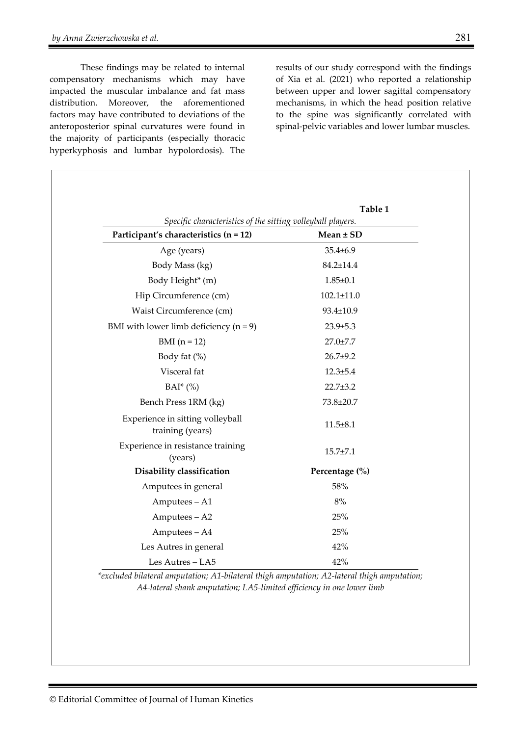These findings may be related to internal compensatory mechanisms which may have impacted the muscular imbalance and fat mass distribution. Moreover, the aforementioned factors may have contributed to deviations of the anteroposterior spinal curvatures were found in the majority of participants (especially thoracic hyperkyphosis and lumbar hypolordosis). The

results of our study correspond with the findings of Xia et al. (2021) who reported a relationship between upper and lower sagittal compensatory mechanisms, in which the head position relative to the spine was significantly correlated with spinal-pelvic variables and lower lumbar muscles.

|                                                             | Table 1          |
|-------------------------------------------------------------|------------------|
| Specific characteristics of the sitting volleyball players. |                  |
| Participant's characteristics (n = 12)                      | $Mean \pm SD$    |
| Age (years)                                                 | $35.4 \pm 6.9$   |
| Body Mass (kg)                                              | $84.2 \pm 14.4$  |
| Body Height* (m)                                            | $1.85 \pm 0.1$   |
| Hip Circumference (cm)                                      | $102.1 \pm 11.0$ |
| Waist Circumference (cm)                                    | 93.4±10.9        |
| BMI with lower limb deficiency $(n = 9)$                    | $23.9 \pm 5.3$   |
| $BMI(n = 12)$                                               | $27.0 \pm 7.7$   |
| Body fat $(\%)$                                             | $26.7+9.2$       |
| Visceral fat                                                | $12.3 + 5.4$     |
| $BAI^*(\%)$                                                 | $22.7 \pm 3.2$   |
| Bench Press 1RM (kg)                                        | 73.8±20.7        |
| Experience in sitting volleyball<br>training (years)        | $11.5 \pm 8.1$   |
| Experience in resistance training<br>(years)                | $15.7 \pm 7.1$   |
| Disability classification                                   | Percentage (%)   |
| Amputees in general                                         | 58%              |
| Amputees - A1                                               | 8%               |
| Amputees - A2                                               | 25%              |
| Amputees - A4                                               | 25%              |
| Les Autres in general                                       | 42%              |
| Les Autres - LA5                                            | 42%              |

*\*excluded bilateral amputation; A1-bilateral thigh amputation; A2-lateral thigh amputation; A4-lateral shank amputation; LA5-limited efficiency in one lower limb*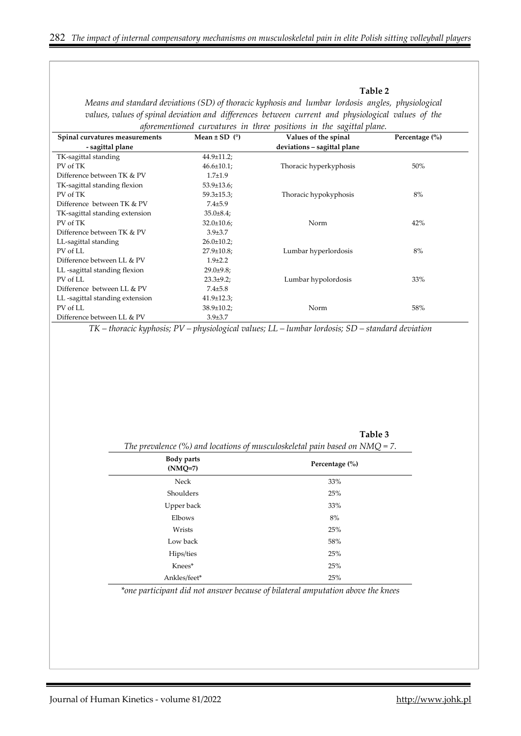*Means and standard deviations (SD) of thoracic kyphosis and lumbar lordosis angles, physiological values, values of spinal deviation and differences between current and physiological values of the* 

#### **Table 2**

*aforementioned curvatures in three positions in the sagittal plane.*  **Spinal curvatures measurements - sagittal plane Mean ± SD (°) Values of the spinal deviations – sagittal plane Percentage (%)** TK-sagittal standing PV of TK Difference between TK & PV 44.9±11.2;  $46.6 \pm 10.1;$ 1.7±1.9 Thoracic hyperkyphosis 50% TK-sagittal standing flexion PV of TK Difference between TK & PV 53.9±13.6; 59.3±15.3; 7.4±5.9 Thoracic hypokyphosis 8% TK-sagittal standing extension PV of TK Difference between TK & PV 35.0±8.4; 32.0±10.6; 3.9±3.7 Norm 42% LL-sagittal standing PV of LL Difference between LL & PV  $26.0 \pm 10.2;$ 27.9±10.8; 1.9±2.2 Lumbar hyperlordosis 8% LL -sagittal standing flexion PV of LL Difference between LL & PV 29.0±9.8; 23.3±9.2; 7.4±5.8 Lumbar hypolordosis 33% LL -sagittal standing extension PV of LL Difference between LL & PV 41.9±12.3; 38.9±10.2; 3.9±3.7 Norm 58%

*TK – thoracic kyphosis; PV – physiological values; LL – lumbar lordosis; SD – standard deviation* 

**Table 3**  *The prevalence (%) and locations of musculoskeletal pain based on NMQ = 7.* 

| <b>Body parts</b><br>$(NMO=7)$ | Percentage $(\% )$ |
|--------------------------------|--------------------|
| Neck                           | 33%                |
| Shoulders                      | 25%                |
| Upper back                     | 33%                |
| Elbows                         | 8%                 |
| Wrists                         | 25%                |
| Low back                       | 58%                |
| Hips/ties                      | 25%                |
| Knees*                         | 25%                |
| Ankles/feet*                   | 25%                |

*\*one participant did not answer because of bilateral amputation above the knees*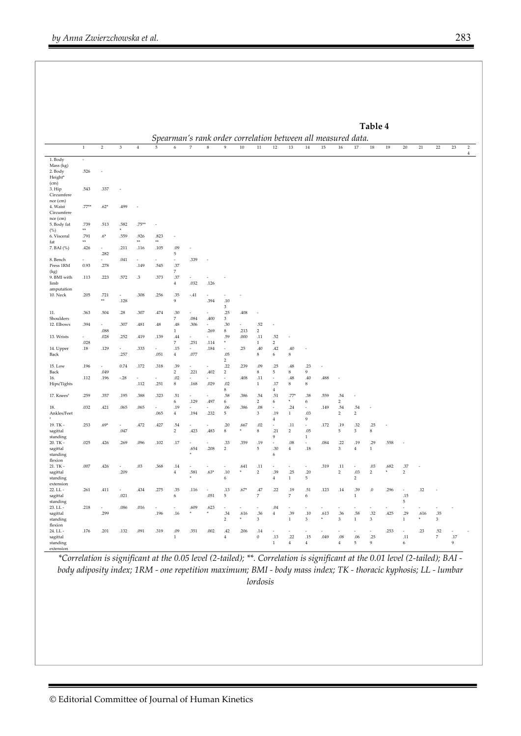|                                         |                          | Table 4<br>Spearman's rank order correlation between all measured data. |                           |                      |                          |                                 |                            |                                  |                                  |                                       |                                     |                          |                           |                                 |                      |                                  |                         |                                 |           |                                 |           |                          |          |                |
|-----------------------------------------|--------------------------|-------------------------------------------------------------------------|---------------------------|----------------------|--------------------------|---------------------------------|----------------------------|----------------------------------|----------------------------------|---------------------------------------|-------------------------------------|--------------------------|---------------------------|---------------------------------|----------------------|----------------------------------|-------------------------|---------------------------------|-----------|---------------------------------|-----------|--------------------------|----------|----------------|
|                                         | $\,1\,$                  | $\overline{2}$                                                          | $\ensuremath{\mathsf{3}}$ | $\overline{4}$       | $\overline{5}$           | $6\overline{6}$                 | $\overline{7}$             | $\overline{\mathbf{8}}$          | $\overline{9}$                   | 10                                    | 11                                  | 12                       | 13                        | 14                              | 15                   | 16                               | 17                      | $18\,$                          | 19        | $20\,$                          | $21\,$    | $22\,$                   | 23       | $\overline{2}$ |
| 1. Body                                 | $\overline{\phantom{a}}$ |                                                                         |                           |                      |                          |                                 |                            |                                  |                                  |                                       |                                     |                          |                           |                                 |                      |                                  |                         |                                 |           |                                 |           |                          |          | $\overline{4}$ |
| Mass (kg)<br>2. Body<br>Height*         | .526                     |                                                                         |                           |                      |                          |                                 |                            |                                  |                                  |                                       |                                     |                          |                           |                                 |                      |                                  |                         |                                 |           |                                 |           |                          |          |                |
| (cm)<br>3. Hip                          | .543                     | .337                                                                    |                           |                      |                          |                                 |                            |                                  |                                  |                                       |                                     |                          |                           |                                 |                      |                                  |                         |                                 |           |                                 |           |                          |          |                |
| Circumfere<br>nce (cm)<br>4. Waist      | $.77***$                 | $.62*$                                                                  | .499                      |                      |                          |                                 |                            |                                  |                                  |                                       |                                     |                          |                           |                                 |                      |                                  |                         |                                 |           |                                 |           |                          |          |                |
| Circumfere<br>$nce$ (cm)<br>5. Body fat | .739                     | .513                                                                    | .582                      | $.75***$             | ×,                       |                                 |                            |                                  |                                  |                                       |                                     |                          |                           |                                 |                      |                                  |                         |                                 |           |                                 |           |                          |          |                |
| (%)<br>6. Visceral                      | $\ast\ast$<br>.791       | $.6*$                                                                   | .559                      | .926                 | .823                     | í,                              |                            |                                  |                                  |                                       |                                     |                          |                           |                                 |                      |                                  |                         |                                 |           |                                 |           |                          |          |                |
| fat<br>7. BAI (%)                       | $800$<br>.426            | $\sim$                                                                  | .211                      | $\mathbf{w}$<br>.116 | $*$<br>.105              | .09                             | ×,                         |                                  |                                  |                                       |                                     |                          |                           |                                 |                      |                                  |                         |                                 |           |                                 |           |                          |          |                |
|                                         |                          | .282                                                                    |                           |                      |                          | 5                               |                            |                                  |                                  |                                       |                                     |                          |                           |                                 |                      |                                  |                         |                                 |           |                                 |           |                          |          |                |
| 8. Bench<br>Press 1RM<br>(kg)           | 0.93                     | $\overline{\phantom{a}}$<br>.278                                        | .041                      | ×,<br>.149           | .545                     | ٠<br>.37<br>$\overline{7}$      | .339                       |                                  |                                  |                                       |                                     |                          |                           |                                 |                      |                                  |                         |                                 |           |                                 |           |                          |          |                |
| 9. BMI with<br>limb                     | .113                     | .223                                                                    | .572                      | .3                   | .373                     | .37<br>$\,4$                    | .032                       | $\overline{\phantom{a}}$<br>.126 |                                  |                                       |                                     |                          |                           |                                 |                      |                                  |                         |                                 |           |                                 |           |                          |          |                |
| amputation<br><b>10. Neck</b>           | .205                     | .721                                                                    | $\overline{\phantom{a}}$  | .308                 | .256                     | .35                             | $-.41$                     |                                  |                                  |                                       |                                     |                          |                           |                                 |                      |                                  |                         |                                 |           |                                 |           |                          |          |                |
|                                         |                          | $\pm\pm$                                                                | .128                      |                      |                          | 9                               |                            | .394                             | $.10\,$<br>3                     |                                       |                                     |                          |                           |                                 |                      |                                  |                         |                                 |           |                                 |           |                          |          |                |
| 11.<br>Shoulders                        | .363                     | .504                                                                    | $.28\,$                   | .307                 | .474                     | .30<br>$\,7$                    | .084                       | .400                             | .25<br>$_{\rm 3}$                | .408                                  |                                     |                          |                           |                                 |                      |                                  |                         |                                 |           |                                 |           |                          |          |                |
| 12. Elbows                              | .394                     | ÷<br>$.088\,$                                                           | .307                      | $.481\,$             | $.48\,$                  | $.48\,$<br>$\,1$                | .306                       | ä,<br>.269                       | .30<br>$\bf8$                    | ä,<br>.213                            | .52<br>$\overline{2}$               | ×,                       |                           |                                 |                      |                                  |                         |                                 |           |                                 |           |                          |          |                |
| 13. Wrists                              | $\sim$<br>.028           | .028                                                                    | .252                      | .419                 | .139                     | $.44\,$<br>$\,7$                | .251                       | ä,<br>.114                       | .59<br>$\boldsymbol{\mathrm{s}}$ | .000                                  | .11<br>$\mathbf{1}$                 | .52<br>$\overline{2}$    | ÷,                        |                                 |                      |                                  |                         |                                 |           |                                 |           |                          |          |                |
| 14. Upper<br>Back                       | .18                      | .129                                                                    | ÷<br>.257                 | .333                 | ×,<br>.051               | .15<br>$\overline{4}$           | ä,<br>.077                 | .184                             | ä,<br>.05<br>$\overline{2}$      | .25                                   | .40<br>$\bf8$                       | .42<br>6                 | .40<br>8                  |                                 |                      |                                  |                         |                                 |           |                                 |           |                          |          |                |
| 15. Low                                 | .196                     | $\sim$                                                                  | 0.74                      | .172                 | $.318\,$                 | .39                             | J.                         | J.                               | 22                               | .239                                  | .09                                 | 25                       | .48                       | .23                             | ÷,                   |                                  |                         |                                 |           |                                 |           |                          |          |                |
| Back<br>16.                             | .112                     | .049<br>.196                                                            | $-.28$                    | $\sim$               | $\overline{\phantom{a}}$ | $\overline{2}$<br>.02           | .221<br>÷                  | .402<br>$\overline{\phantom{a}}$ | $\overline{2}$<br>$\sim$         | $\!408$                               | $\bf8$<br>.11                       | $\overline{5}$<br>$\sim$ | $\bf8$<br>.48             | $\mathbf{Q}$<br>$.40\,$         | $.488\,$             | ×,                               |                         |                                 |           |                                 |           |                          |          |                |
| Hips/Tights                             |                          |                                                                         |                           | .112                 | .251                     | 8                               | .168                       | .029                             | $.02\,$<br>8                     |                                       | $\mathbf{1}$                        | .17<br>$\overline{4}$    | 8                         | 8                               |                      |                                  |                         |                                 |           |                                 |           |                          |          |                |
| 17. Knees <sup>s</sup>                  | .259                     | .357                                                                    | .195                      | .388                 | .323                     | .51<br>6                        | ä,<br>.129                 | ä,<br>.497                       | $.58\,$<br>6                     | .386                                  | $.54\,$<br>$\overline{2}$           | .51<br>$\sqrt{6}$        | .77<br>×                  | .38<br>$\,6\,$                  | .559                 | .54<br>$\overline{2}$            | J.                      |                                 |           |                                 |           |                          |          |                |
| 18.<br>Ankles/Feet                      | .032                     | .421                                                                    | .065                      | .065                 | ×<br>.065                | .19<br>$\overline{4}$           | ×.<br>.194                 | $\sim$<br>.232                   | .06<br>$\overline{5}$            | .386                                  | $.08\,$<br>$_{\rm 3}$               | $\sim$<br>.19            | .24<br>$\mathbf{1}$       | $\sim$<br>.03                   | .149                 | .54<br>$\overline{2}$            | .54<br>$\overline{2}$   |                                 |           |                                 |           |                          |          |                |
| 19. TK -                                | .253                     | $.69*$                                                                  | $\sim$                    | .472                 | .427                     | .54                             |                            | $\overline{\phantom{a}}$         | .20                              | .667<br>$\mathbf{x}_\mathrm{P}$       | .02                                 | $\,4$                    | .11                       | $\overline{9}$                  | .172                 | .19                              | .32                     | .25                             |           |                                 |           |                          |          |                |
| sagittal<br>standing                    |                          |                                                                         | .047                      |                      |                          | $\overline{2}$                  | .423                       | .483                             | 8                                |                                       | $\bf8$                              | .21<br>$\,9$             | $\overline{2}$            | .05<br>$\mathbf{1}$             |                      | 5                                | 3                       | 8                               |           |                                 |           |                          |          |                |
| $20.$ TK -<br>sagittal<br>standing      | .025                     | .426                                                                    | .269                      | .096                 | .102                     | .17                             | i.<br>.654<br>$\mathbf{w}$ | ÷,<br>.208                       | .33<br>$\,2$                     | .359                                  | .19<br>$\,$ 5 $\,$                  | l,<br>.30<br>6           | $.08\,$<br>$\bf{4}$       | ×,<br>.18                       | .084                 | .22<br>$\ensuremath{\mathsf{3}}$ | .19<br>$\bf{4}$         | .29<br>$\,1\,$                  | .558      |                                 |           |                          |          |                |
| flexion                                 |                          |                                                                         |                           |                      |                          |                                 |                            |                                  |                                  |                                       |                                     |                          |                           |                                 |                      |                                  |                         |                                 |           |                                 |           |                          |          |                |
| 21. TK -<br>sagittal<br>standing        | .007                     | .426                                                                    | ł,<br>.209                | .03                  | .368                     | .14<br>$\,4$                    | .581<br>×                  | $.63*$                           | i,<br>$.10\,$<br>6               | .641<br>$\mathbf{s}_\mathrm{P}$       | .11<br>$\overline{\mathbf{c}}$      | .39<br>$\overline{4}$    | .25<br>$\mathbf{1}$       | ÷,<br>.20<br>5                  | .319                 | .11<br>$\,2$                     | .03<br>$\overline{2}$   | .03<br>$\sqrt{2}$               | .682<br>× | .37<br>$\overline{2}$           |           |                          |          |                |
| extension<br>22. LL -                   | .261                     | .411                                                                    | ÷.<br>.021                | .434                 | .275                     | .35<br>$\epsilon$               | .116                       | J.                               | .13<br>$\,$ 5 $\,$               | $.67*$                                | $.47\,$<br>$\overline{\phantom{a}}$ | 22                       | .19<br>$\,7$              | .51                             | .123                 | .14                              | .39                     | $.0\,$                          | .296      | ÷.                              | .12       |                          |          |                |
| sagittal<br>standing                    |                          |                                                                         |                           |                      |                          |                                 |                            | .051                             |                                  |                                       |                                     |                          |                           | 6                               |                      |                                  | $\mathbf{1}$            |                                 |           | .15<br>5                        |           |                          |          |                |
| 23. LL -<br>sagittal<br>standing        | .218                     | $\sim$<br>.299                                                          | $.086$                    | .016                 | .196                     | $\overline{\phantom{a}}$<br>.16 | .609<br>×                  | .623<br>×                        | ÷.<br>.34<br>$\overline{2}$      | ä,<br>.616<br>$\mathbf{s}_\mathrm{P}$ | ä,<br>.36<br>$\mathbf{3}$           | .04<br>$\,4$             | ä,<br>.39<br>$\mathbf{1}$ | ÷.<br>.10<br>3                  | .613<br>$\mathbf{s}$ | .36<br>$\ensuremath{\mathsf{3}}$ | $.58\,$<br>$\mathbf{1}$ | ä,<br>.32<br>$\mathfrak z$      | .425      | ×.<br>.29<br>$\mathbf{1}$       | .616<br>× | ÷<br>.35<br>$\mathbf{3}$ |          |                |
| flexion<br>$24. LL -$<br>sagittal       | .176                     | .201                                                                    | .132                      | .091                 | .319                     | .09<br>$\,1$                    | .351                       | .002                             | .42<br>$\overline{4}$            | .206                                  | .14<br>$\bf 0$                      | ٠<br>.13                 | ٠<br>.22                  | $\overline{\phantom{a}}$<br>.15 | .049                 | ٠<br>.08                         | ٠<br>.06                | $\overline{\phantom{a}}$<br>.25 | .253      | $\overline{\phantom{a}}$<br>.11 | .23       | .52<br>$\overline{7}$    | ×<br>.17 |                |
| standing<br>extension                   |                          |                                                                         |                           |                      |                          |                                 |                            |                                  |                                  |                                       |                                     | $\mathbf{1}$             | $\overline{4}$            | $\overline{4}$                  |                      | $\overline{4}$                   | 5                       | $\boldsymbol{9}$                |           | 6                               |           |                          | 9        |                |

*\*Correlation is significant at the 0.05 level (2-tailed); \*\*. Correlation is significant at the 0.01 level (2-tailed); BAI body adiposity index; 1RM - one repetition maximum; BMI - body mass index; TK - thoracic kyphosis; LL - lumbar lordosis*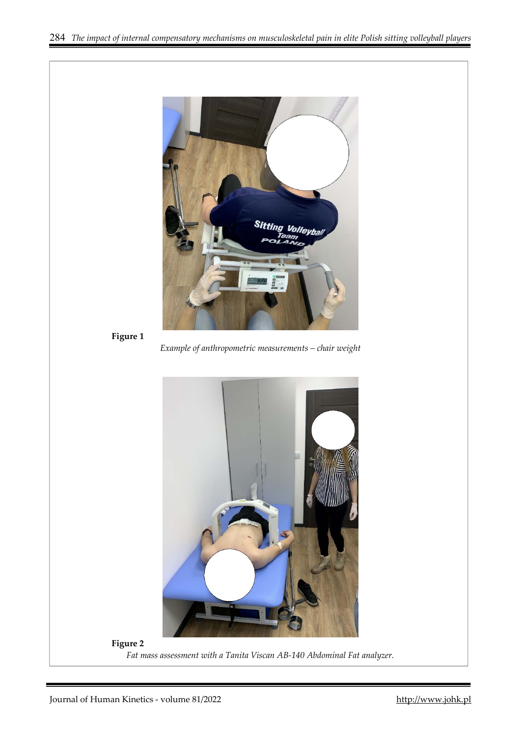

```
Figure 1
```
*Example of anthropometric measurements – chair weight* 



*Fat mass assessment with a Tanita Viscan AB-140 Abdominal Fat analyzer.*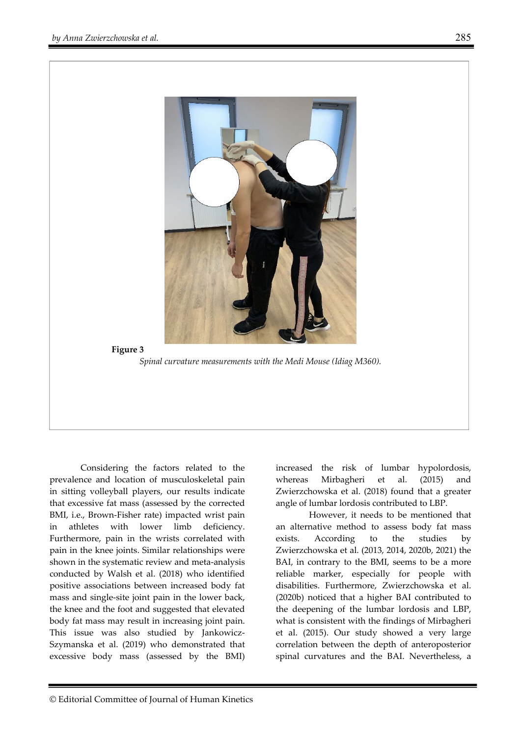

Considering the factors related to the prevalence and location of musculoskeletal pain in sitting volleyball players, our results indicate that excessive fat mass (assessed by the corrected BMI, i.e., Brown-Fisher rate) impacted wrist pain in athletes with lower limb deficiency. Furthermore, pain in the wrists correlated with pain in the knee joints. Similar relationships were shown in the systematic review and meta-analysis conducted by Walsh et al. (2018) who identified positive associations between increased body fat mass and single-site joint pain in the lower back, the knee and the foot and suggested that elevated body fat mass may result in increasing joint pain. This issue was also studied by Jankowicz-Szymanska et al. (2019) who demonstrated that excessive body mass (assessed by the BMI) increased the risk of lumbar hypolordosis, whereas Mirbagheri et al. (2015) and Zwierzchowska et al. (2018) found that a greater angle of lumbar lordosis contributed to LBP.

 However, it needs to be mentioned that an alternative method to assess body fat mass exists. According to the studies by Zwierzchowska et al. (2013, 2014, 2020b, 2021) the BAI, in contrary to the BMI, seems to be a more reliable marker, especially for people with disabilities. Furthermore, Zwierzchowska et al. (2020b) noticed that a higher BAI contributed to the deepening of the lumbar lordosis and LBP, what is consistent with the findings of Mirbagheri et al. (2015). Our study showed a very large correlation between the depth of anteroposterior spinal curvatures and the BAI. Nevertheless, a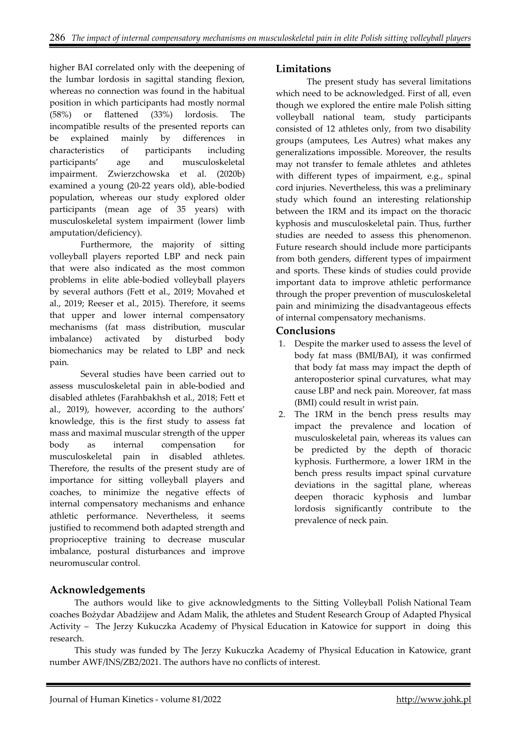higher BAI correlated only with the deepening of the lumbar lordosis in sagittal standing flexion, whereas no connection was found in the habitual position in which participants had mostly normal (58%) or flattened (33%) lordosis. The incompatible results of the presented reports can be explained mainly by differences in characteristics of participants including participants' age and musculoskeletal impairment. Zwierzchowska et al. (2020b) examined a young (20-22 years old), able-bodied population, whereas our study explored older participants (mean age of 35 years) with musculoskeletal system impairment (lower limb amputation/deficiency).

Furthermore, the majority of sitting volleyball players reported LBP and neck pain that were also indicated as the most common problems in elite able-bodied volleyball players by several authors (Fett et al., 2019; Movahed et al., 2019; Reeser et al., 2015). Therefore, it seems that upper and lower internal compensatory mechanisms (fat mass distribution, muscular imbalance) activated by disturbed body biomechanics may be related to LBP and neck pain.

Several studies have been carried out to assess musculoskeletal pain in able-bodied and disabled athletes (Farahbakhsh et al., 2018; Fett et al., 2019), however, according to the authors' knowledge, this is the first study to assess fat mass and maximal muscular strength of the upper body as internal compensation for musculoskeletal pain in disabled athletes. Therefore, the results of the present study are of importance for sitting volleyball players and coaches, to minimize the negative effects of internal compensatory mechanisms and enhance athletic performance. Nevertheless, it seems justified to recommend both adapted strength and proprioceptive training to decrease muscular imbalance, postural disturbances and improve neuromuscular control.

#### **Limitations**

The present study has several limitations which need to be acknowledged. First of all, even though we explored the entire male Polish sitting volleyball national team, study participants consisted of 12 athletes only, from two disability groups (amputees, Les Autres) what makes any generalizations impossible. Moreover, the results may not transfer to female athletes and athletes with different types of impairment, e.g., spinal cord injuries. Nevertheless, this was a preliminary study which found an interesting relationship between the 1RM and its impact on the thoracic kyphosis and musculoskeletal pain. Thus, further studies are needed to assess this phenomenon. Future research should include more participants from both genders, different types of impairment and sports. These kinds of studies could provide important data to improve athletic performance through the proper prevention of musculoskeletal pain and minimizing the disadvantageous effects of internal compensatory mechanisms.

#### **Conclusions**

- 1. Despite the marker used to assess the level of body fat mass (BMI/BAI), it was confirmed that body fat mass may impact the depth of anteroposterior spinal curvatures, what may cause LBP and neck pain. Moreover, fat mass (BMI) could result in wrist pain.
- 2. The 1RM in the bench press results may impact the prevalence and location of musculoskeletal pain, whereas its values can be predicted by the depth of thoracic kyphosis. Furthermore, a lower 1RM in the bench press results impact spinal curvature deviations in the sagittal plane, whereas deepen thoracic kyphosis and lumbar lordosis significantly contribute to the prevalence of neck pain.

## **Acknowledgements**

The authors would like to give acknowledgments to the Sitting Volleyball Polish National Team coaches Bożydar Abadżijew and Adam Malik, the athletes and Student Research Group of Adapted Physical Activity – The Jerzy Kukuczka Academy of Physical Education in Katowice for support in doing this research.

This study was funded by The Jerzy Kukuczka Academy of Physical Education in Katowice, grant number AWF/INS/ZB2/2021. The authors have no conflicts of interest.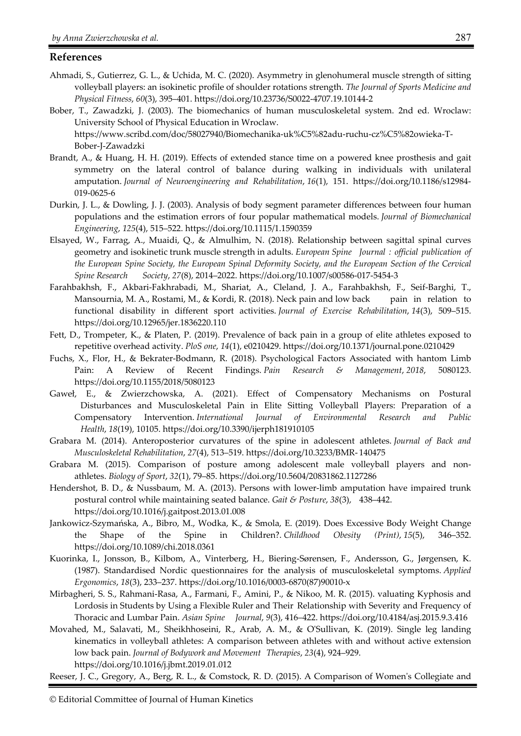#### **References**

- Ahmadi, S., Gutierrez, G. L., & Uchida, M. C. (2020). Asymmetry in glenohumeral muscle strength of sitting volleyball players: an isokinetic profile of shoulder rotations strength. *The Journal of Sports Medicine and Physical Fitness*, *60*(3), 395–401. https://doi.org/10.23736/S0022-4707.19.10144-2
- Bober, T., Zawadzki, J. (2003). The biomechanics of human musculoskeletal system. 2nd ed. Wroclaw: University School of Physical Education in Wroclaw. https://www.scribd.com/doc/58027940/Biomechanika-uk%C5%82adu-ruchu-cz%C5%82owieka-T-Bober-J-Zawadzki
- Brandt, A., & Huang, H. H. (2019). Effects of extended stance time on a powered knee prosthesis and gait symmetry on the lateral control of balance during walking in individuals with unilateral amputation. *Journal of Neuroengineering and Rehabilitation*, *16*(1), 151. https://doi.org/10.1186/s12984- 019-0625-6
- Durkin, J. L., & Dowling, J. J. (2003). Analysis of body segment parameter differences between four human populations and the estimation errors of four popular mathematical models. *Journal of Biomechanical Engineering*, *125*(4), 515–522. https://doi.org/10.1115/1.1590359
- Elsayed, W., Farrag, A., Muaidi, Q., & Almulhim, N. (2018). Relationship between sagittal spinal curves geometry and isokinetic trunk muscle strength in adults. *European Spine Journal : official publication of the European Spine Society, the European Spinal Deformity Society, and the European Section of the Cervical Spine Research Society*, *27*(8), 2014–2022. https://doi.org/10.1007/s00586-017-5454-3
- Farahbakhsh, F., Akbari-Fakhrabadi, M., Shariat, A., Cleland, J. A., Farahbakhsh, F., Seif-Barghi, T., Mansournia, M. A., Rostami, M., & Kordi, R. (2018). Neck pain and low back pain in relation to functional disability in different sport activities. *Journal of Exercise Rehabilitation*, *14*(3), 509–515. https://doi.org/10.12965/jer.1836220.110
- Fett, D., Trompeter, K., & Platen, P. (2019). Prevalence of back pain in a group of elite athletes exposed to repetitive overhead activity. *PloS one*, *14*(1), e0210429. https://doi.org/10.1371/journal.pone.0210429
- Fuchs, X., Flor, H., & Bekrater-Bodmann, R. (2018). Psychological Factors Associated with hantom Limb Pain: A Review of Recent Findings. *Pain Research & Management*, *2018*, 5080123. https://doi.org/10.1155/2018/5080123
- Gaweł, E., & Zwierzchowska, A. (2021). Effect of Compensatory Mechanisms on Postural Disturbances and Musculoskeletal Pain in Elite Sitting Volleyball Players: Preparation of a Compensatory Intervention. *International Journal of Environmental Research and Public Health*, *18*(19), 10105. https://doi.org/10.3390/ijerph181910105
- Grabara M. (2014). Anteroposterior curvatures of the spine in adolescent athletes. *Journal of Back and Musculoskeletal Rehabilitation*, *27*(4), 513–519. https://doi.org/10.3233/BMR- 140475
- Grabara M. (2015). Comparison of posture among adolescent male volleyball players and nonathletes. *Biology of Sport*, *32*(1), 79–85. https://doi.org/10.5604/20831862.1127286
- Hendershot, B. D., & Nussbaum, M. A. (2013). Persons with lower-limb amputation have impaired trunk postural control while maintaining seated balance. *Gait & Posture*, *38*(3), 438–442. https://doi.org/10.1016/j.gaitpost.2013.01.008
- Jankowicz-Szymańska, A., Bibro, M., Wodka, K., & Smola, E. (2019). Does Excessive Body Weight Change the Shape of the Spine in Children?. *Childhood Obesity (Print)*, *15*(5), 346–352. https://doi.org/10.1089/chi.2018.0361
- Kuorinka, I., Jonsson, B., Kilbom, A., Vinterberg, H., Biering-Sørensen, F., Andersson, G., Jørgensen, K. (1987). Standardised Nordic questionnaires for the analysis of musculoskeletal symptoms. *Applied Ergonomics*, *18*(3), 233–237. https://doi.org/10.1016/0003-6870(87)90010-x
- Mirbagheri, S. S., Rahmani-Rasa, A., Farmani, F., Amini, P., & Nikoo, M. R. (2015). valuating Kyphosis and Lordosis in Students by Using a Flexible Ruler and Their Relationship with Severity and Frequency of Thoracic and Lumbar Pain. *Asian Spine Journal*, *9*(3), 416–422. https://doi.org/10.4184/asj.2015.9.3.416
- Movahed, M., Salavati, M., Sheikhhoseini, R., Arab, A. M., & O'Sullivan, K. (2019). Single leg landing kinematics in volleyball athletes: A comparison between athletes with and without active extension low back pain. *Journal of Bodywork and Movement Therapies*, *23*(4), 924–929. https://doi.org/10.1016/j.jbmt.2019.01.012

Reeser, J. C., Gregory, A., Berg, R. L., & Comstock, R. D. (2015). A Comparison of Women's Collegiate and